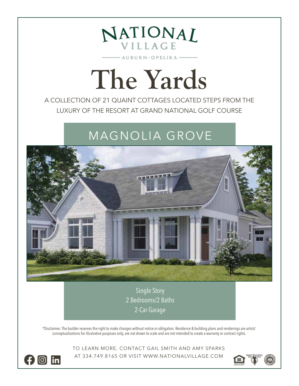

## **The Yards**

A COLLECTION OF 21 QUAINT COTTAGES LOCATED STEPS FROM THE LUXURY OF THE RESORT AT GRAND NATIONAL GOLF COURSE

## MAGNOLIA GROVE



Single Story 2 Bedrooms/2 Baths 2-Car Garage

\*Disclaimer: The builder reserves the right to make changes without notice or obligation. Residence & building plans and renderings are artists' conceptualizations for illustrative purposes only, are not drawn to scale and are not intended to create a warranty or contract rights.

> TO LEARN MORE, CONTACT GAIL SMITH AND AMY SPARKS AT 334.749.8165 OR VISIT WWW.NATIONALVILLAGE.COM